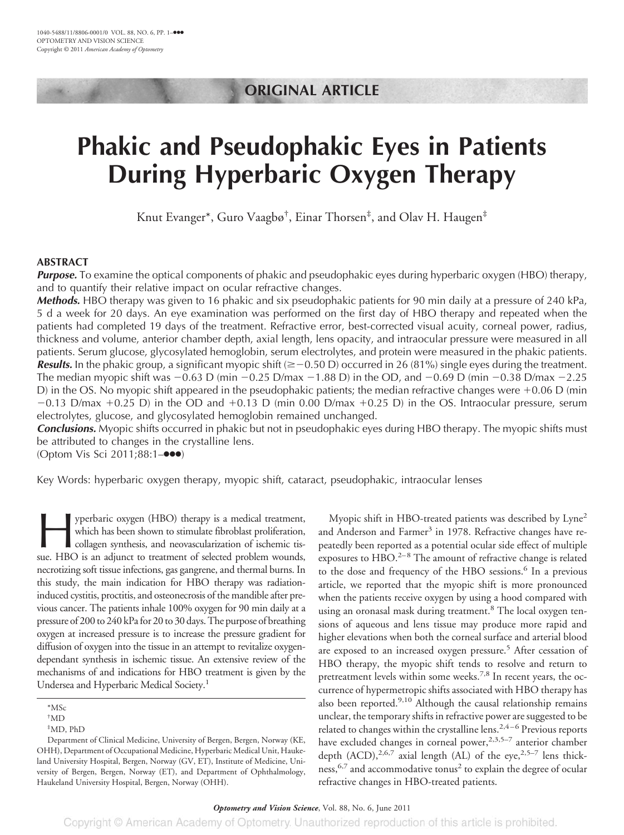## **ORIGINAL ARTICLE**

# **Phakic and Pseudophakic Eyes in Patients During Hyperbaric Oxygen Therapy**

Knut Evanger\*, Guro Vaagbø† , Einar Thorsen‡ , and Olav H. Haugen‡

## **ABSTRACT**

*Purpose.* To examine the optical components of phakic and pseudophakic eyes during hyperbaric oxygen (HBO) therapy, and to quantify their relative impact on ocular refractive changes.

*Methods.* HBO therapy was given to 16 phakic and six pseudophakic patients for 90 min daily at a pressure of 240 kPa, 5 d a week for 20 days. An eye examination was performed on the first day of HBO therapy and repeated when the patients had completed 19 days of the treatment. Refractive error, best-corrected visual acuity, corneal power, radius, thickness and volume, anterior chamber depth, axial length, lens opacity, and intraocular pressure were measured in all patients. Serum glucose, glycosylated hemoglobin, serum electrolytes, and protein were measured in the phakic patients. **Results.** In the phakic group, a significant myopic shift ( $\geq$  -0.50 D) occurred in 26 (81%) single eyes during the treatment. The median myopic shift was  $-0.63$  D (min  $-0.25$  D/max  $-1.88$  D) in the OD, and  $-0.69$  D (min  $-0.38$  D/max  $-2.25$ D) in the OS. No myopic shift appeared in the pseudophakic patients; the median refractive changes were  $+0.06$  D (min  $-0.13$  D/max  $+0.25$  D) in the OD and  $+0.13$  D (min 0.00 D/max  $+0.25$  D) in the OS. Intraocular pressure, serum electrolytes, glucose, and glycosylated hemoglobin remained unchanged.

*Conclusions.* Myopic shifts occurred in phakic but not in pseudophakic eyes during HBO therapy. The myopic shifts must be attributed to changes in the crystalline lens.

(Optom Vis Sci 2011;88:1–●●●)

Key Words: hyperbaric oxygen therapy, myopic shift, cataract, pseudophakic, intraocular lenses

yperbaric oxygen (HBO) therapy is a medical treatment,<br>which has been shown to stimulate fibroblast proliferation,<br>collagen synthesis, and neovascularization of ischemic tis-<br>sue. HBO is an adjunct to treatment of selected which has been shown to stimulate fibroblast proliferation, collagen synthesis, and neovascularization of ischemic tissue. HBO is an adjunct to treatment of selected problem wounds, necrotizing soft tissue infections, gas gangrene, and thermal burns. In this study, the main indication for HBO therapy was radiationinduced cystitis, proctitis, and osteonecrosis of the mandible after previous cancer. The patients inhale 100% oxygen for 90 min daily at a pressure of 200 to 240 kPafor 20 to 30 days. The purpose of breathing oxygen at increased pressure is to increase the pressure gradient for diffusion of oxygen into the tissue in an attempt to revitalize oxygendependant synthesis in ischemic tissue. An extensive review of the mechanisms of and indications for HBO treatment is given by the Undersea and Hyperbaric Medical Society.<sup>1</sup>

Myopic shift in HBO-treated patients was described by Lyne<sup>2</sup> and Anderson and Farmer<sup>3</sup> in 1978. Refractive changes have repeatedly been reported as a potential ocular side effect of multiple exposures to  $HBO.<sup>2-8</sup>$  The amount of refractive change is related to the dose and frequency of the HBO sessions.<sup>6</sup> In a previous article, we reported that the myopic shift is more pronounced when the patients receive oxygen by using a hood compared with using an oronasal mask during treatment.<sup>8</sup> The local oxygen tensions of aqueous and lens tissue may produce more rapid and higher elevations when both the corneal surface and arterial blood are exposed to an increased oxygen pressure.<sup>5</sup> After cessation of HBO therapy, the myopic shift tends to resolve and return to pretreatment levels within some weeks.<sup>7,8</sup> In recent years, the occurrence of hypermetropic shifts associated with HBO therapy has also been reported.<sup>9,10</sup> Although the causal relationship remains unclear, the temporary shifts in refractive power are suggested to be related to changes within the crystalline lens.<sup>2,4-6</sup> Previous reports have excluded changes in corneal power,<sup>2,3,5–7</sup> anterior chamber depth  $(ACD)$ , <sup>2,6,7</sup> axial length  $(AL)$  of the eye, <sup>2,5–7</sup> lens thickness,<sup>6,7</sup> and accommodative tonus<sup>2</sup> to explain the degree of ocular refractive changes in HBO-treated patients.

<sup>\*</sup>MSc

<sup>†</sup> MD

<sup>‡</sup> MD, PhD

Department of Clinical Medicine, University of Bergen, Bergen, Norway (KE, OHH), Department of Occupational Medicine, Hyperbaric Medical Unit, Haukeland University Hospital, Bergen, Norway (GV, ET), Institute of Medicine, University of Bergen, Bergen, Norway (ET), and Department of Ophthalmology, Haukeland University Hospital, Bergen, Norway (OHH).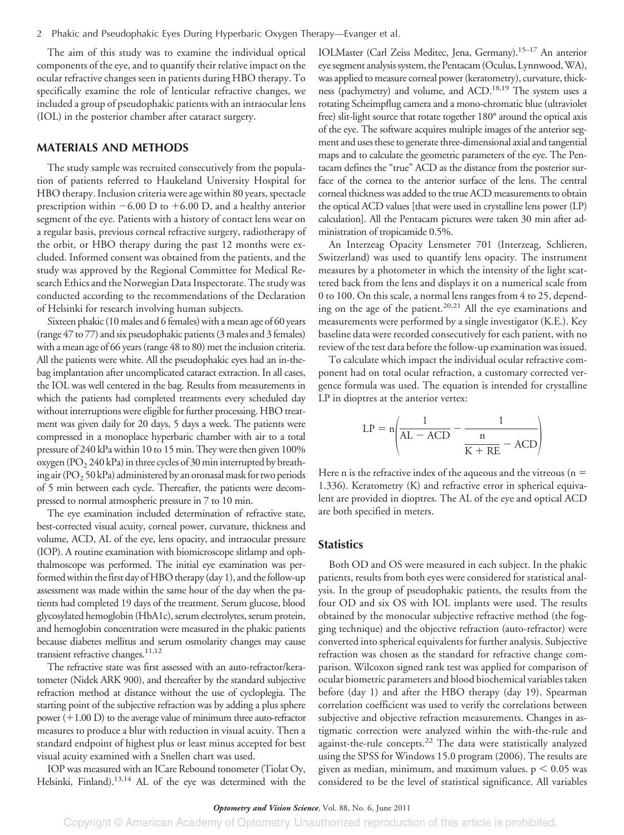The aim of this study was to examine the individual optical components of the eye, and to quantify their relative impact on the ocular refractive changes seen in patients during HBO therapy. To specifically examine the role of lenticular refractive changes, we included a group of pseudophakic patients with an intraocular lens (IOL) in the posterior chamber after cataract surgery.

## **MATERIALS AND METHODS**

The study sample was recruited consecutively from the population of patients referred to Haukeland University Hospital for HBO therapy. Inclusion criteria were age within 80 years, spectacle prescription within  $-6.00$  D to  $+6.00$  D, and a healthy anterior segment of the eye. Patients with a history of contact lens wear on a regular basis, previous corneal refractive surgery, radiotherapy of the orbit, or HBO therapy during the past 12 months were excluded. Informed consent was obtained from the patients, and the study was approved by the Regional Committee for Medical Research Ethics and the Norwegian Data Inspectorate. The study was conducted according to the recommendations of the Declaration of Helsinki for research involving human subjects.

Sixteen phakic (10 males and 6 females) with a mean age of 60 years (range 47 to 77) and six pseudophakic patients (3 males and 3females) with a mean age of 66 years (range 48 to 80) met the inclusion criteria. All the patients were white. All the pseudophakic eyes had an in-thebag implantation after uncomplicated cataract extraction. In all cases, the IOL was well centered in the bag. Results from measurements in which the patients had completed treatments every scheduled day without interruptions were eligible for further processing. HBO treatment was given daily for 20 days, 5 days a week. The patients were compressed in a monoplace hyperbaric chamber with air to a total pressure of 240 kPa within 10 to 15 min. They were then given 100% oxygen (PO<sub>2</sub> 240 kPa) in three cycles of 30 min interrupted by breathing air (PO<sub>2</sub> 50 kPa) administered by an oronasal mask for two periods of 5 min between each cycle. Thereafter, the patients were decompressed to normal atmospheric pressure in 7 to 10 min.

The eye examination included determination of refractive state, best-corrected visual acuity, corneal power, curvature, thickness and volume, ACD, AL of the eye, lens opacity, and intraocular pressure (IOP). A routine examination with biomicroscope slitlamp and ophthalmoscope was performed. The initial eye examination was performed within the first day of HBO therapy (day 1), and the follow-up assessment was made within the same hour of the day when the patients had completed 19 days of the treatment. Serum glucose, blood glycosylated hemoglobin (HbA1c), serum electrolytes, serum protein, and hemoglobin concentration were measured in the phakic patients because diabetes mellitus and serum osmolarity changes may cause transient refractive changes.<sup>11,12</sup>

The refractive state was first assessed with an auto-refractor/keratometer (Nidek ARK 900), and thereafter by the standard subjective refraction method at distance without the use of cycloplegia. The starting point of the subjective refraction was by adding a plus sphere power (+1.00 D) to the average value of minimum three auto-refractor measures to produce a blur with reduction in visual acuity. Then a standard endpoint of highest plus or least minus accepted for best visual acuity examined with a Snellen chart was used.

IOP was measured with an ICare Rebound tonometer (Tiolat Oy, Helsinki, Finland).<sup>13,14</sup> AL of the eye was determined with the IOLMaster (Carl Zeiss Meditec, Jena, Germany).15–17 An anterior eye segment analysis system, the Pentacam (Oculus, Lynnwood,WA), was applied to measure corneal power (keratometry), curvature, thickness (pachymetry) and volume, and ACD.<sup>18,19</sup> The system uses a rotating Scheimpflug camera and a mono-chromatic blue (ultraviolet free) slit-light source that rotate together 180° around the optical axis of the eye. The software acquires multiple images of the anterior segment and uses these to generate three-dimensional axial and tangential maps and to calculate the geometric parameters of the eye. The Pentacam defines the "true" ACD as the distance from the posterior surface of the cornea to the anterior surface of the lens. The central corneal thickness was added to the true ACD measurements to obtain the optical ACD values [that were used in crystalline lens power (LP) calculation]. All the Pentacam pictures were taken 30 min after administration of tropicamide 0.5%.

An Interzeag Opacity Lensmeter 701 (Interzeag, Schlieren, Switzerland) was used to quantify lens opacity. The instrument measures by a photometer in which the intensity of the light scattered back from the lens and displays it on a numerical scale from 0 to 100. On this scale, a normal lens ranges from 4 to 25, depending on the age of the patient.<sup>20,21</sup> All the eye examinations and measurements were performed by a single investigator (K.E.). Key baseline data were recorded consecutively for each patient, with no review of the test data before the follow-up examination was issued.

To calculate which impact the individual ocular refractive component had on total ocular refraction, a customary corrected vergence formula was used. The equation is intended for crystalline LP in dioptres at the anterior vertex:

$$
LP = n \left( \frac{1}{AL - ACD} - \frac{1}{\frac{n}{K + RE} - ACD} \right)
$$

Here n is the refractive index of the aqueous and the vitreous ( $n =$ 1.336). Keratometry (K) and refractive error in spherical equivalent are provided in dioptres. The AL of the eye and optical ACD are both specified in meters.

## **Statistics**

Both OD and OS were measured in each subject. In the phakic patients, results from both eyes were considered for statistical analysis. In the group of pseudophakic patients, the results from the four OD and six OS with IOL implants were used. The results obtained by the monocular subjective refractive method (the fogging technique) and the objective refraction (auto-refractor) were converted into spherical equivalents for further analysis. Subjective refraction was chosen as the standard for refractive change comparison. Wilcoxon signed rank test was applied for comparison of ocular biometric parameters and blood biochemical variables taken before (day 1) and after the HBO therapy (day 19). Spearman correlation coefficient was used to verify the correlations between subjective and objective refraction measurements. Changes in astigmatic correction were analyzed within the with-the-rule and against-the-rule concepts.22 The data were statistically analyzed using the SPSS for Windows 15.0 program (2006). The results are given as median, minimum, and maximum values.  $p < 0.05$  was considered to be the level of statistical significance. All variables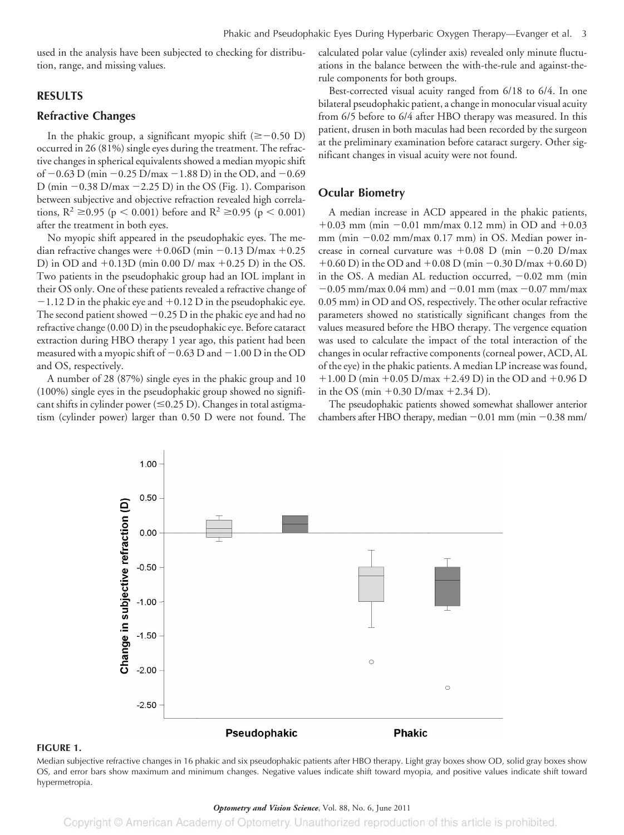used in the analysis have been subjected to checking for distribution, range, and missing values.

## **RESULTS**

#### **Refractive Changes**

In the phakic group, a significant myopic shift ( $\geq$  -0.50 D) occurred in 26 (81%) single eyes during the treatment. The refractive changes in spherical equivalents showed a median myopic shift of  $-0.63$  D (min  $-0.25$  D/max  $-1.88$  D) in the OD, and  $-0.69$ D (min  $-0.38$  D/max  $-2.25$  D) in the OS (Fig. 1). Comparison between subjective and objective refraction revealed high correlations,  $R^2 \ge 0.95$  (p < 0.001) before and  $R^2 \ge 0.95$  (p < 0.001) after the treatment in both eyes.

No myopic shift appeared in the pseudophakic eyes. The median refractive changes were  $+0.06D$  (min  $-0.13$  D/max  $+0.25$ D) in OD and  $+0.13D$  (min 0.00 D/ max  $+0.25$  D) in the OS. Two patients in the pseudophakic group had an IOL implant in their OS only. One of these patients revealed a refractive change of  $-1.12$  D in the phakic eye and  $+0.12$  D in the pseudophakic eye. The second patient showed  $-0.25$  D in the phakic eye and had no refractive change (0.00 D) in the pseudophakic eye. Before cataract extraction during HBO therapy 1 year ago, this patient had been measured with a myopic shift of  $-0.63$  D and  $-1.00$  D in the OD and OS, respectively.

A number of 28 (87%) single eyes in the phakic group and 10 (100%) single eyes in the pseudophakic group showed no significant shifts in cylinder power ( $\leq$ 0.25 D). Changes in total astigmatism (cylinder power) larger than 0.50 D were not found. The calculated polar value (cylinder axis) revealed only minute fluctuations in the balance between the with-the-rule and against-therule components for both groups.

Best-corrected visual acuity ranged from 6/18 to 6/4. In one bilateral pseudophakic patient, a change in monocular visual acuity from 6/5 before to 6/4 after HBO therapy was measured. In this patient, drusen in both maculas had been recorded by the surgeon at the preliminary examination before cataract surgery. Other significant changes in visual acuity were not found.

## **Ocular Biometry**

A median increase in ACD appeared in the phakic patients,  $+0.03$  mm (min  $-0.01$  mm/max 0.12 mm) in OD and  $+0.03$ mm (min  $-0.02$  mm/max  $0.17$  mm) in OS. Median power increase in corneal curvature was  $+0.08$  D (min  $-0.20$  D/max +0.60 D) in the OD and +0.08 D (min  $-0.30$  D/max +0.60 D) in the OS. A median AL reduction occurred,  $-0.02$  mm (min  $-0.05$  mm/max 0.04 mm) and  $-0.01$  mm (max  $-0.07$  mm/max 0.05 mm) in OD and OS, respectively. The other ocular refractive parameters showed no statistically significant changes from the values measured before the HBO therapy. The vergence equation was used to calculate the impact of the total interaction of the changes in ocular refractive components (corneal power, ACD, AL of the eye) in the phakic patients. A median LP increase was found,  $+1.00$  D (min  $+0.05$  D/max  $+2.49$  D) in the OD and  $+0.96$  D in the OS (min  $+0.30$  D/max  $+2.34$  D).

The pseudophakic patients showed somewhat shallower anterior chambers after HBO therapy, median  $-0.01$  mm (min  $-0.38$  mm/



#### **FIGURE 1.**

Median subjective refractive changes in 16 phakic and six pseudophakic patients after HBO therapy. Light gray boxes show OD, solid gray boxes show OS, and error bars show maximum and minimum changes. Negative values indicate shift toward myopia, and positive values indicate shift toward hypermetropia.

#### *Optometry and Vision Science*, Vol. 88, No. 6, June 2011

Copyright © American Academy of Optometry. Unauthorized reproduction of this article is prohibited.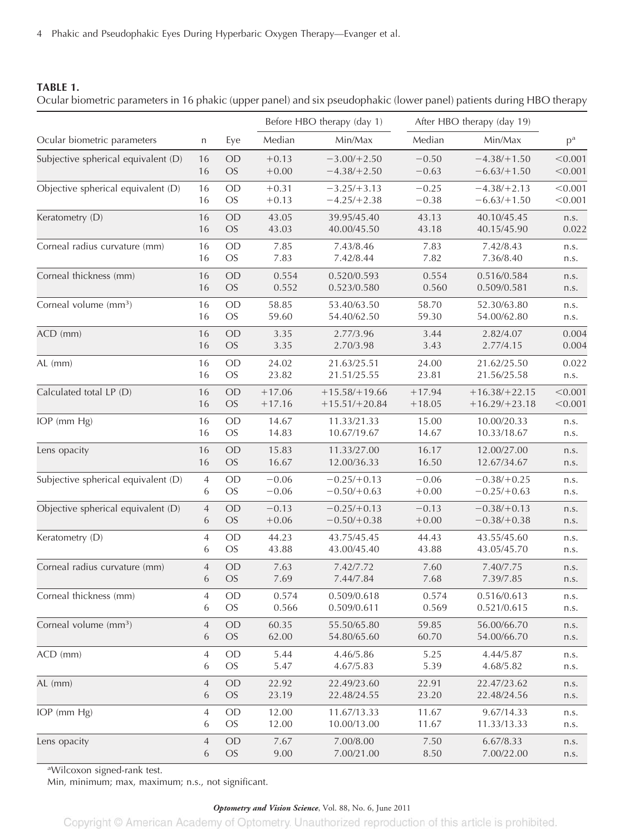4 Phakic and Pseudophakic Eyes During Hyperbaric Oxygen Therapy—Evanger et al.

## **TABLE 1.**

|                                     |                |           |          | Before HBO therapy (day 1) |          | After HBO therapy (day 19) |         |  |
|-------------------------------------|----------------|-----------|----------|----------------------------|----------|----------------------------|---------|--|
| Ocular biometric parameters         | n              | Eye       | Median   | Min/Max                    | Median   | Min/Max                    | $p^a$   |  |
| Subjective spherical equivalent (D) | 16             | OD        | $+0.13$  | $-3.00/+2.50$              | $-0.50$  | $-4.38/+1.50$              | < 0.001 |  |
|                                     | 16             | <b>OS</b> | $+0.00$  | $-4.38/+2.50$              | $-0.63$  | $-6.63/+1.50$              | < 0.001 |  |
| Objective spherical equivalent (D)  | 16             | OD        | $+0.31$  | $-3.25/+3.13$              | $-0.25$  | $-4.38/+2.13$              | < 0.001 |  |
|                                     | 16             | <b>OS</b> | $+0.13$  | $-4.25/+2.38$              | $-0.38$  | $-6.63/+1.50$              | < 0.001 |  |
| Keratometry (D)                     | 16             | OD        | 43.05    | 39.95/45.40                | 43.13    | 40.10/45.45                | n.s.    |  |
|                                     | 16             | <b>OS</b> | 43.03    | 40.00/45.50                | 43.18    | 40.15/45.90                | 0.022   |  |
| Corneal radius curvature (mm)       | 16             | OD        | 7.85     | 7.43/8.46                  | 7.83     | 7.42/8.43                  | n.s.    |  |
|                                     | 16             | <b>OS</b> | 7.83     | 7.42/8.44                  | 7.82     | 7.36/8.40                  | n.s.    |  |
| Corneal thickness (mm)              | 16             | OD        | 0.554    | 0.520/0.593                | 0.554    | 0.516/0.584                | n.s.    |  |
|                                     | 16             | <b>OS</b> | 0.552    | 0.523/0.580                | 0.560    | 0.509/0.581                | n.s.    |  |
| Corneal volume (mm <sup>3</sup> )   | 16             | OD        | 58.85    | 53.40/63.50                | 58.70    | 52.30/63.80                | n.s.    |  |
|                                     | 16             | <b>OS</b> | 59.60    | 54.40/62.50                | 59.30    | 54.00/62.80                | n.s.    |  |
| ACD (mm)                            | 16             | OD        | 3.35     | 2.77/3.96                  | 3.44     | 2.82/4.07                  | 0.004   |  |
|                                     | 16             | <b>OS</b> | 3.35     | 2.70/3.98                  | 3.43     | 2.77/4.15                  | 0.004   |  |
| $AL$ (mm)                           | 16             | <b>OD</b> | 24.02    | 21.63/25.51                | 24.00    | 21.62/25.50                | 0.022   |  |
|                                     | 16             | <b>OS</b> | 23.82    | 21.51/25.55                | 23.81    | 21.56/25.58                | n.s.    |  |
| Calculated total LP (D)             | 16             | <b>OD</b> | $+17.06$ | $+15.58/+19.66$            | $+17.94$ | $+16.38/+22.15$            | < 0.001 |  |
|                                     | 16             | <b>OS</b> | $+17.16$ | $+15.51/+20.84$            | $+18.05$ | $+16.29/+23.18$            | < 0.001 |  |
| IOP (mm Hg)                         | 16             | OD        | 14.67    | 11.33/21.33                | 15.00    | 10.00/20.33                | n.s.    |  |
|                                     | 16             | <b>OS</b> | 14.83    | 10.67/19.67                | 14.67    | 10.33/18.67                | n.s.    |  |
| Lens opacity                        | 16             | OD        | 15.83    | 11.33/27.00                | 16.17    | 12.00/27.00                | n.s.    |  |
|                                     | 16             | <b>OS</b> | 16.67    | 12.00/36.33                | 16.50    | 12.67/34.67                | n.s.    |  |
| Subjective spherical equivalent (D) | 4              | OD        | $-0.06$  | $-0.25/+0.13$              | $-0.06$  | $-0.38/+0.25$              | n.s.    |  |
|                                     | 6              | <b>OS</b> | $-0.06$  | $-0.50/+0.63$              | $+0.00$  | $-0.25/+0.63$              | n.s.    |  |
| Objective spherical equivalent (D)  | $\overline{4}$ | OD        | $-0.13$  | $-0.25/+0.13$              | $-0.13$  | $-0.38/+0.13$              | n.s.    |  |
|                                     | 6              | <b>OS</b> | $+0.06$  | $-0.50/+0.38$              | $+0.00$  | $-0.38/+0.38$              | n.s.    |  |
| Keratometry (D)                     | 4              | OD        | 44.23    | 43.75/45.45                | 44.43    | 43.55/45.60                | n.s.    |  |
|                                     | 6              | <b>OS</b> | 43.88    | 43.00/45.40                | 43.88    | 43.05/45.70                | n.s.    |  |
| Corneal radius curvature (mm)       | 4              | <b>OD</b> | 7.63     | 7.42/7.72                  | 7.60     | 7.40/7.75                  | n.s.    |  |
|                                     | 6              | <b>OS</b> | 7.69     | 7.44/7.84                  | 7.68     | 7.39/7.85                  | n.s.    |  |
| Corneal thickness (mm)              | 4              | <b>OD</b> | 0.574    | 0.509/0.618                | 0.574    | 0.516/0.613                | n.s.    |  |
|                                     | 6              | <b>OS</b> | 0.566    | 0.509/0.611                | 0.569    | 0.521/0.615                | n.s.    |  |
| Corneal volume (mm <sup>3</sup> )   | 4              | <b>OD</b> | 60.35    | 55.50/65.80                | 59.85    | 56.00/66.70                | n.s.    |  |
|                                     | 6              | <b>OS</b> | 62.00    | 54.80/65.60                | 60.70    | 54.00/66.70                | n.s.    |  |
| ACD (mm)                            | 4              | <b>OD</b> | 5.44     | 4.46/5.86                  | 5.25     | 4.44/5.87                  | n.s.    |  |
|                                     | 6              | <b>OS</b> | 5.47     | 4.67/5.83                  | 5.39     | 4.68/5.82                  | n.s.    |  |
| AL (mm)                             | 4              | <b>OD</b> | 22.92    | 22.49/23.60                | 22.91    | 22.47/23.62                | n.s.    |  |
|                                     | 6              | <b>OS</b> | 23.19    | 22.48/24.55                | 23.20    | 22.48/24.56                | n.s.    |  |
| IOP (mm Hg)                         | 4              | <b>OD</b> | 12.00    | 11.67/13.33                | 11.67    | 9.67/14.33                 | n.s.    |  |
|                                     | 6              | <b>OS</b> | 12.00    | 10.00/13.00                | 11.67    | 11.33/13.33                | n.s.    |  |
| Lens opacity                        | 4              | <b>OD</b> | 7.67     | 7.00/8.00                  | 7.50     | 6.67/8.33                  | n.s.    |  |
|                                     | 6              | <b>OS</b> | 9.00     | 7.00/21.00                 | 8.50     | 7.00/22.00                 | n.s.    |  |

Ocular biometric parameters in 16 phakic (upper panel) and six pseudophakic (lower panel) patients during HBO therapy

a Wilcoxon signed-rank test.

Min, minimum; max, maximum; n.s., not significant.

## *Optometry and Vision Science*, Vol. 88, No. 6, June 2011

Copyright © American Academy of Optometry. Unauthorized reproduction of this article is prohibited.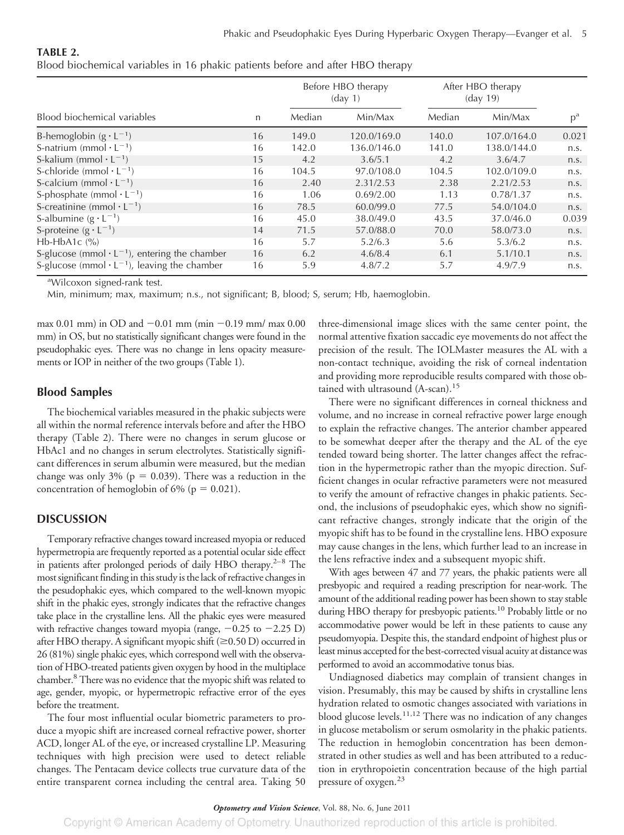| TABLE 2.                                                                       |  |  |  |  |  |
|--------------------------------------------------------------------------------|--|--|--|--|--|
| Blood biochemical variables in 16 phakic patients before and after HBO therapy |  |  |  |  |  |

|                                                                 |    |        | Before HBO therapy<br>$\frac{day}{1}$ | After HBO therapy<br>$\frac{day}{19}$ |             |       |
|-----------------------------------------------------------------|----|--------|---------------------------------------|---------------------------------------|-------------|-------|
| Blood biochemical variables                                     | n  | Median | Min/Max                               | Median                                | Min/Max     | $p^a$ |
| B-hemoglobin $(g \cdot L^{-1})$                                 | 16 | 149.0  | 120.0/169.0                           | 140.0                                 | 107.0/164.0 | 0.021 |
| S-natrium (mmol $\cdot$ L <sup>-1</sup> )                       | 16 | 142.0  | 136.0/146.0                           | 141.0                                 | 138.0/144.0 | n.S.  |
| S-kalium (mmol $\cdot$ L <sup>-1</sup> )                        | 15 | 4.2    | 3.6/5.1                               | 4.2                                   | 3.6/4.7     | n.s.  |
| S-chloride (mmol $\cdot$ L <sup>-1</sup> )                      | 16 | 104.5  | 97.0/108.0                            | 104.5                                 | 102.0/109.0 | n.S.  |
| S-calcium (mmol $\cdot$ L <sup>-1</sup> )                       | 16 | 2.40   | 2.31/2.53                             | 2.38                                  | 2.21/2.53   | n.s.  |
| S-phosphate (mmol $\cdot$ L <sup>-1</sup> )                     | 16 | 1.06   | 0.69/2.00                             | 1.13                                  | 0.78/1.37   | n.S.  |
| S-creatinine (mmol $\cdot$ L <sup>-1</sup> )                    | 16 | 78.5   | 60.0/99.0                             | 77.5                                  | 54.0/104.0  | n.S.  |
| S-albumine $(g \cdot L^{-1})$                                   | 16 | 45.0   | 38.0/49.0                             | 43.5                                  | 37.0/46.0   | 0.039 |
| S-proteine $(g \cdot L^{-1})$                                   | 14 | 71.5   | 57.0/88.0                             | 70.0                                  | 58.0/73.0   | n.s.  |
| Hb-HbA1 $c$ $\frac{\%}{\%}$                                     | 16 | 5.7    | 5.2/6.3                               | 5.6                                   | 5.3/6.2     | n.s.  |
| S-glucose (mmol $\cdot$ L <sup>-1</sup> ), entering the chamber | 16 | 6.2    | 4.6/8.4                               | 6.1                                   | 5.1/10.1    | n.s.  |
| S-glucose (mmol $\cdot$ L <sup>-1</sup> ), leaving the chamber  | 16 | 5.9    | 4.8/7.2                               | 5.7                                   | 4.9/7.9     | n.s.  |

a Wilcoxon signed-rank test.

Min, minimum; max, maximum; n.s., not significant; B, blood; S, serum; Hb, haemoglobin.

max 0.01 mm) in OD and  $-0.01$  mm (min  $-0.19$  mm/ max 0.00 mm) in OS, but no statistically significant changes were found in the pseudophakic eyes. There was no change in lens opacity measurements or IOP in neither of the two groups (Table 1).

#### **Blood Samples**

The biochemical variables measured in the phakic subjects were all within the normal reference intervals before and after the HBO therapy (Table 2). There were no changes in serum glucose or HbAc1 and no changes in serum electrolytes. Statistically significant differences in serum albumin were measured, but the median change was only 3% ( $p = 0.039$ ). There was a reduction in the concentration of hemoglobin of 6% ( $p = 0.021$ ).

## **DISCUSSION**

Temporary refractive changes toward increased myopia or reduced hypermetropia are frequently reported as a potential ocular side effect in patients after prolonged periods of daily HBO therapy.<sup>2-8</sup> The most significant finding in this study is the lack of refractive changes in the pesudophakic eyes, which compared to the well-known myopic shift in the phakic eyes, strongly indicates that the refractive changes take place in the crystalline lens. All the phakic eyes were measured with refractive changes toward myopia (range,  $-0.25$  to  $-2.25$  D) after HBO therapy. A significant myopic shift  $(\geq 0.50 \text{ D})$  occurred in 26 (81%) single phakic eyes, which correspond well with the observation of HBO-treated patients given oxygen by hood in the multiplace chamber.8 There was no evidence that the myopic shift was related to age, gender, myopic, or hypermetropic refractive error of the eyes before the treatment.

The four most influential ocular biometric parameters to produce a myopic shift are increased corneal refractive power, shorter ACD, longer AL of the eye, or increased crystalline LP. Measuring techniques with high precision were used to detect reliable changes. The Pentacam device collects true curvature data of the entire transparent cornea including the central area. Taking 50

three-dimensional image slices with the same center point, the normal attentive fixation saccadic eye movements do not affect the precision of the result. The IOLMaster measures the AL with a non-contact technique, avoiding the risk of corneal indentation and providing more reproducible results compared with those obtained with ultrasound (A-scan).<sup>15</sup>

There were no significant differences in corneal thickness and volume, and no increase in corneal refractive power large enough to explain the refractive changes. The anterior chamber appeared to be somewhat deeper after the therapy and the AL of the eye tended toward being shorter. The latter changes affect the refraction in the hypermetropic rather than the myopic direction. Sufficient changes in ocular refractive parameters were not measured to verify the amount of refractive changes in phakic patients. Second, the inclusions of pseudophakic eyes, which show no significant refractive changes, strongly indicate that the origin of the myopic shift has to be found in the crystalline lens. HBO exposure may cause changes in the lens, which further lead to an increase in the lens refractive index and a subsequent myopic shift.

With ages between 47 and 77 years, the phakic patients were all presbyopic and required a reading prescription for near-work. The amount of the additional reading power has been shown to stay stable during HBO therapy for presbyopic patients.<sup>10</sup> Probably little or no accommodative power would be left in these patients to cause any pseudomyopia. Despite this, the standard endpoint of highest plus or least minus accepted for the best-corrected visual acuity at distance was performed to avoid an accommodative tonus bias.

Undiagnosed diabetics may complain of transient changes in vision. Presumably, this may be caused by shifts in crystalline lens hydration related to osmotic changes associated with variations in blood glucose levels.<sup>11,12</sup> There was no indication of any changes in glucose metabolism or serum osmolarity in the phakic patients. The reduction in hemoglobin concentration has been demonstrated in other studies as well and has been attributed to a reduction in erythropoietin concentration because of the high partial pressure of oxygen.<sup>23</sup>